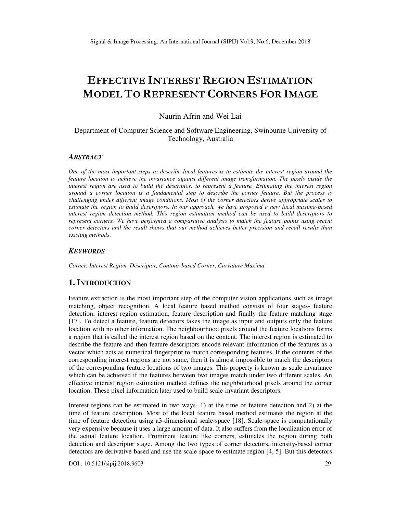# **EFFECTIVE INTEREST REGION ESTIMATION MODEL TO REPRESENT CORNERS FOR IMAGE**

Naurin Afrin and Wei Lai

# Department of Computer Science and Software Engineering, Swinburne University of Technology, Australia

#### *ABSTRACT*

*One of the most important steps to describe local features is to estimate the interest region around the feature location to achieve the invariance against different image transformation. The pixels inside the interest region are used to build the descriptor, to represent a feature. Estimating the interest region around a corner location is a fundamental step to describe the corner feature. But the process is challenging under different image conditions. Most of the corner detectors derive appropriate scales to estimate the region to build descriptors. In our approach, we have proposed a new local maxima-based interest region detection method. This region estimation method can be used to build descriptors to represent corners. We have performed a comparative analysis to match the feature points using recent corner detectors and the result shows that our method achieves better precision and recall results than existing methods*.

## *KEYWORDS*

*Corner, Interest Region, Descriptor, Contour-based Corner, Curvature Maxima* 

# **1. INTRODUCTION**

Feature extraction is the most important step of the computer vision applications such as image matching, object recognition. A local feature based method consists of four stages- feature detection, interest region estimation, feature description and finally the feature matching stage [17]. To detect a feature, feature detectors takes the image as input and outputs only the feature location with no other information. The neighbourhood pixels around the feature locations forms a region that is called the interest region based on the content. The interest region is estimated to describe the feature and then feature descriptors encode relevant information of the features as a vector which acts as numerical fingerprint to match corresponding features. If the contents of the corresponding interest regions are not same, then it is almost impossible to match the descriptors of the corresponding feature locations of two images. This property is known as scale invariance which can be achieved if the features between two images match under two different scales. An effective interest region estimation method defines the neighbourhood pixels around the corner location. These pixel information later used to build scale-invariant descriptors.

Interest regions can be estimated in two ways- 1) at the time of feature detection and 2) at the time of feature description. Most of the local feature based method estimates the region at the time of feature detection using a3-dimensional scale-space [18]. Scale-space is computationally very expensive because it uses a large amount of data. It also suffers from the localization error of the actual feature location. Prominent feature like corners, estimates the region during both detection and descriptor stage. Among the two types of corner detectors, intensity-based corner detectors are derivative-based and use the scale-space to estimate region [4, 5]. But this detectors

DOI : 10.5121/sipij.2018.9603 29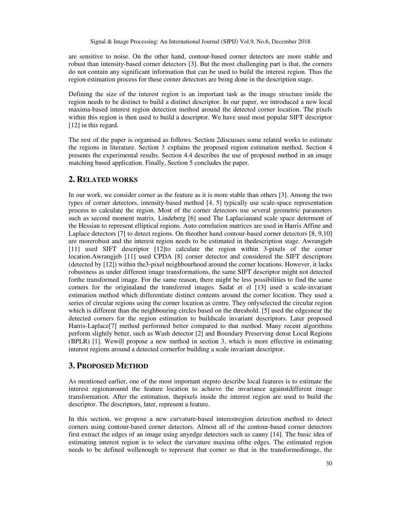are sensitive to noise. On the other hand, contour-based corner detectors are more stable and robust than intensity-based corner detectors [3]. But the most challenging part is that, the corners do not contain any significant information that can be used to build the interest region. Thus the region estimation process for these corner detectors are being done in the description stage.

Defining the size of the interest region is an important task as the image structure inside the region needs to be distinct to build a distinct descriptor. In our paper, we introduced a new local maxima-based interest region detection method around the detected corner location. The pixels within this region is then used to build a descriptor. We have used most popular SIFT descriptor [12] in this regard.

The rest of the paper is organised as follows. Section 2discusses some related works to estimate the regions in literature. Section 3 explains the proposed region estimation method. Section 4 presents the experimental results. Section 4.4 describes the use of proposed method in an image matching based application. Finally, Section 5 concludes the paper.

# **2. RELATED WORKS**

In our work, we consider corner as the feature as it is more stable than others [3]. Among the two types of corner detectors, intensity-based method [4, 5] typically use scale-space representation process to calculate the region. Most of the corner detectors use several geometric parameters such as second moment matrix. Lindeberg [6] used The Laplacianand scale space determent of the Hessian to represent elliptical regions. Auto correlation matrices are used in Harris Affine and Laplace detectors [7] to detect regions. On theother hand contour-based corner detectors [8, 9,10] are morerobust and the interest region needs to be estimated in thedescription stage. Awrangjeb [11] used SIFT descriptor [12]to calculate the region within 3-pixels of the corner location.Awrangjeb [11] used CPDA [8] corner detector and considered the SIFT descriptors (detected by [12]) within the3-pixel neighbourhood around the corner locations. However, it lacks robustness as under different image transformations, the same SIFT descriptor might not detected forthe transformed image. For the same reason, there might be less possibilities to find the same corners for the originaland the transferred images. Sadat et el [13] used a scale-invariant estimation method which differentiate distinct contents around the corner location. They used a series of circular regions using the corner location as centre. They onlyselected the circular region which is different than the neighbouring circles based on the threshold. [5] used the edgesnear the detected corners for the region estimation to buildscale invariant descriptors. Later proposed Harris-Laplace[7] method performed better compared to that method. Many recent algorithms perform slightly better, such as Wash detector [2] and Boundary Preserving dense Local Regions (BPLR) [1]. Wewill propose a new method in section 3, which is more effective in estimating interest regions around a detected cornerfor building a scale invariant descriptor.

# **3. PROPOSED METHOD**

As mentioned earlier, one of the most important stepsto describe local features is to estimate the interest regionaround the feature location to achieve the invariance againstdifferent image transformation. After the estimation, thepixels inside the interest region are used to build the descriptor. The descriptors, later, represent a feature.

In this section, we propose a new curvature-based interestregion detection method to detect corners using contour-based corner detectors. Almost all of the contour-based corner detectors first extract the edges of an image using anyedge detectors such as canny [14]. The basic idea of estimating interest region is to select the curvature maxima ofthe edges. The estimated region needs to be defined wellenough to represent that corner so that in the transformedimage, the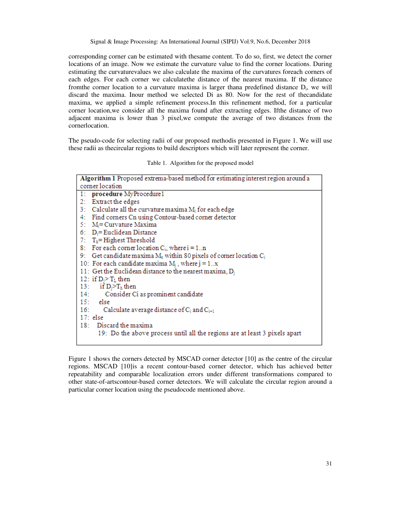corresponding corner can be estimated with thesame content. To do so, first, we detect the corner locations of an image. Now we estimate the curvature value to find the corner locations. During estimating the curvaturevalues we also calculate the maxima of the curvatures foreach corners of each edges. For each corner we calculatethe distance of the nearest maxima. If the distance from the corner location to a curvature maxima is larger thana predefined distance  $D_i$ , we will discard the maxima. Inour method we selected Di as 80. Now for the rest of thecandidate maxima, we applied a simple refinement process.In this refinement method, for a particular corner location,we consider all the maxima found after extracting edges. Ifthe distance of two adjacent maxima is lower than 3 pixel,we compute the average of two distances from the cornerlocation.

The pseudo-code for selecting radii of our proposed methodis presented in Figure 1. We will use these radii as thecircular regions to build descriptors which will later represent the corner.

|  | Table 1. Algorithm for the proposed model |  |  |  |
|--|-------------------------------------------|--|--|--|
|--|-------------------------------------------|--|--|--|

| Algorithm 1 Proposed extrema-based method for estimating interest region around a |  |  |  |  |
|-----------------------------------------------------------------------------------|--|--|--|--|
| comer location                                                                    |  |  |  |  |
| 1: procedure MyProcedure1                                                         |  |  |  |  |
| 2: Extract the edges                                                              |  |  |  |  |
| 3: Calculate all the curvature maxima $M_i$ for each edge                         |  |  |  |  |
| 4: Find corners Cn using Contour-based corner detector                            |  |  |  |  |
| 5: $M_i =$ Curvature Maxima                                                       |  |  |  |  |
| 6: $D_i = Euclidean Distance$                                                     |  |  |  |  |
| 7: $Th$ = Highest Threshold                                                       |  |  |  |  |
| 8: For each corner location $C_i$ , where $i = 1n$                                |  |  |  |  |
| 9: Get candidate maxima $M_x$ within 80 pixels of corner location $C_i$           |  |  |  |  |
| 10: For each candidate maxima $M_i$ , where $j = 1x$                              |  |  |  |  |
| 11: Get the Euclidean distance to the nearest maxima, $D_i$                       |  |  |  |  |
| 12: if $D_i > T_L$ then                                                           |  |  |  |  |
| 13: if $D_i > T_h$ then                                                           |  |  |  |  |
| 14: Consider Ci as prominent candidate                                            |  |  |  |  |
| $15:$ else                                                                        |  |  |  |  |
| 16: Calculate average distance of $C_i$ and $C_{i+1}$                             |  |  |  |  |
| $17:$ else                                                                        |  |  |  |  |
| 18: Discard the maxima                                                            |  |  |  |  |
| 19: Do the above process until all the regions are at least 3 pixels apart        |  |  |  |  |
|                                                                                   |  |  |  |  |

Figure 1 shows the corners detected by MSCAD corner detector [10] as the centre of the circular regions. MSCAD [10]is a recent contour-based corner detector, which has achieved better repeatability and comparable localization errors under different transformations compared to other state-of-artscontour-based corner detectors. We will calculate the circular region around a particular corner location using the pseudocode mentioned above.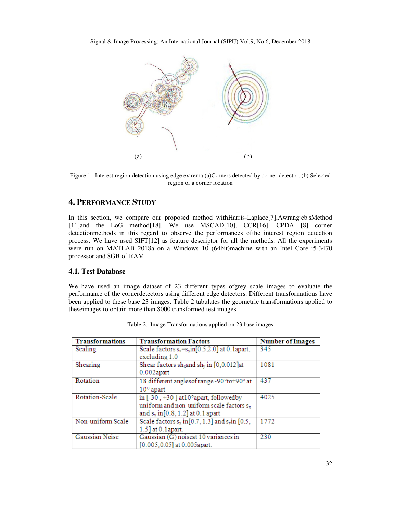Signal & Image Processing: An International Journal (SIPIJ) Vol.9, No.6, December 2018



Figure 1. Interest region detection using edge extrema.(a)Corners detected by corner detector, (b) Selected region of a corner location

# **4. PERFORMANCE STUDY**

In this section, we compare our proposed method withHarris-Laplace[7],Awrangjeb'sMethod [11]and the LoG method<sup>[18]</sup>. We use MSCAD<sup>[10]</sup>, CCR<sup>[16]</sup>, CPDA [8] corner detectionmethods in this regard to observe the performances ofthe interest region detection process. We have used SIFT[12] as feature descriptor for all the methods. All the experiments were run on MATLAB 2018a on a Windows 10 (64bit)machine with an Intel Core i5-3470 processor and 8GB of RAM.

## **4.1. Test Database**

We have used an image dataset of 23 different types ofgrey scale images to evaluate the performance of the cornerdetectors using different edge detectors. Different transformations have been applied to these base 23 images. Table 2 tabulates the geometric transformations applied to theseimages to obtain more than 8000 transformed test images.

| <b>Transformations</b> | <b>Transformation Factors</b>                                | <b>Number of Images</b> |
|------------------------|--------------------------------------------------------------|-------------------------|
| Scaling                | Scale factors $s_x = s_y \text{in} [0.5, 2.0]$ at 0.1 apart, | 345                     |
|                        | excluding 1.0                                                |                         |
| Shearing               | Shear factors $sh_x$ and $sh_y$ in [0,0.012]at               | 1081                    |
|                        | $0.002$ apart                                                |                         |
| Rotation               | 18 different angles of range -90° to+90° at                  | 437                     |
|                        | $10^{\circ}$ apart                                           |                         |
| Rotation-Scale         | in $[-30, +30]$ at $10^{\circ}$ apart, followed by           | 4025                    |
|                        | uniform and non-uniform scale factors sx                     |                         |
|                        | and $s_v$ in [0.8, 1.2] at 0.1 apart                         |                         |
| Non-uniform Scale      | Scale factors $s_x$ in [0.7, 1.3] and $s_y$ in [0.5,         | 1772                    |
|                        | 1.5] at 0.1 apart.                                           |                         |
| Gaussian Noise         | Gaussian (G) noiseat 10 variances in                         | 230                     |
|                        | [0.005,0.05] at 0.005apart.                                  |                         |

Table 2. Image Transformations applied on 23 base images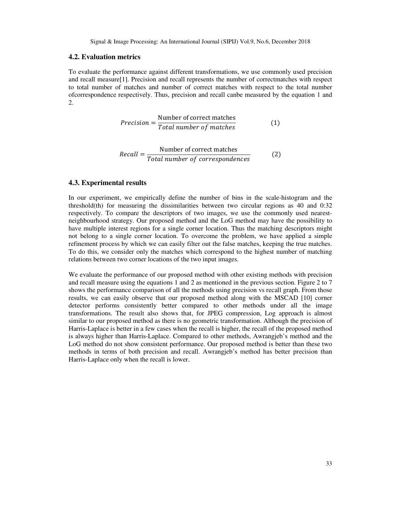## **4.2. Evaluation metrics**

To evaluate the performance against different transformations, we use commonly used precision and recall measure[1]. Precision and recall represents the number of correctmatches with respect to total number of matches and number of correct matches with respect to the total number ofcorrespondence respectively. Thus, precision and recall canbe measured by the equation 1 and 2.

$$
Precision = \frac{Number of correct matches}{Total number of matches}
$$
 (1)

$$
Recall = \frac{\text{Number of correct matches}}{\text{Total number of correspondences}} \tag{2}
$$

## **4.3. Experimental results**

In our experiment, we empirically define the number of bins in the scale-histogram and the threshold(th) for measuring the dissimilarities between two circular regions as 40 and 0:32 respectively. To compare the descriptors of two images, we use the commonly used nearestneighbourhood strategy. Our proposed method and the LoG method may have the possibility to have multiple interest regions for a single corner location. Thus the matching descriptors might not belong to a single corner location. To overcome the problem, we have applied a simple refinement process by which we can easily filter out the false matches, keeping the true matches. To do this, we consider only the matches which correspond to the highest number of matching relations between two corner locations of the two input images.

We evaluate the performance of our proposed method with other existing methods with precision and recall measure using the equations 1 and 2 as mentioned in the previous section. Figure 2 to 7 shows the performance comparison of all the methods using precision vs recall graph. From those results, we can easily observe that our proposed method along with the MSCAD [10] corner detector performs consistently better compared to other methods under all the image transformations. The result also shows that, for JPEG compression, Log approach is almost similar to our proposed method as there is no geometric transformation. Although the precision of Harris-Laplace is better in a few cases when the recall is higher, the recall of the proposed method is always higher than Harris-Laplace. Compared to other methods, Awrangjeb's method and the LoG method do not show consistent performance. Our proposed method is better than these two methods in terms of both precision and recall. Awrangjeb's method has better precision than Harris-Laplace only when the recall is lower.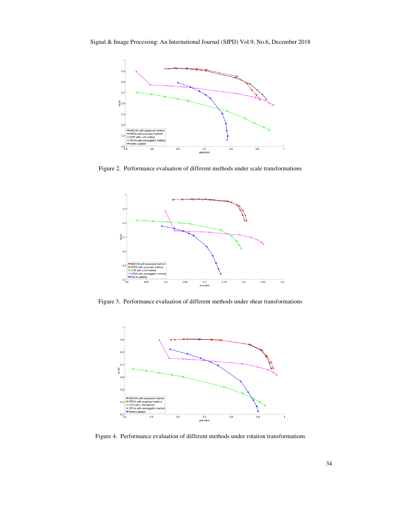

Figure 2. Performance evaluation of different methods under scale transformations



Figure 3. Performance evaluation of different methods under shear transformations



Figure 4. Performance evaluation of different methods under rotation transformations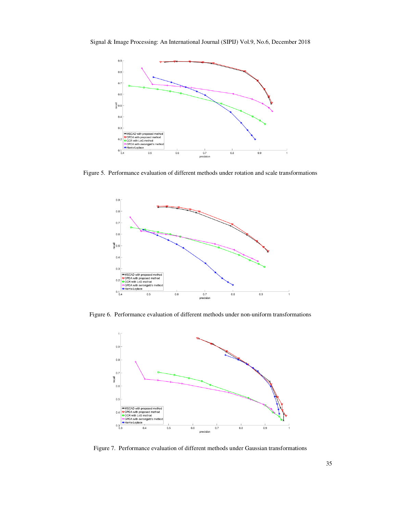Signal & Image Processing: An International Journal (SIPIJ) Vol.9, No.6, December 2018



Figure 5. Performance evaluation of different methods under rotation and scale transformations



Figure 6. Performance evaluation of different methods under non-uniform transformations



Figure 7. Performance evaluation of different methods under Gaussian transformations . 35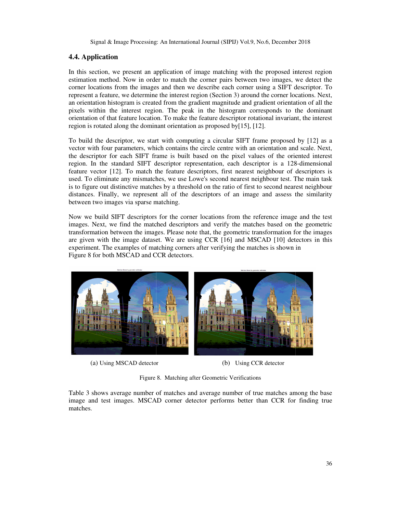# **4.4. Application**

In this section, we present an application of image matching with the proposed interest region estimation method. Now in order to match the corner pairs between two images, we detect the corner locations from the images and then we describe each corner using a SIFT descriptor. To represent a feature, we determine the interest region (Section 3) around the corner locations. Next, In this section, we present an application of image matching with the proposed interest region estimation method. Now in order to match the corner pairs between two images, we detect the corner locations from the images an pixels within the interest region. The peak in the histogram corresponds to the dominant orientation of that feature location. To make the feature descriptor rotational invariant, the interest region is rotated along the dominant orientation as proposed by $[15]$ ,  $[12]$ .

To build the descriptor, we start with computing a circular SIFT frame proposed by [12] as a vector with four parameters, which contains the circle centre with an orientation and scale. Next, the descriptor for each SIFT frame is built based on the pixel values of the oriented interest region. In the standard SIFT descriptor representation, each descriptor is a 128-dimensional feature vector [12]. To match the feature descriptors, first nearest neighbour of descriptors is used. To eliminate any mismatches, we use Lowe's second nearest neighbour test. The main task is to figure out distinctive matches by a threshold on the ratio of first to second nearest neighbour distances. Finally, we represent all of the descriptors of an image and assess the similarity between two images via sparse matching. hold on the ratio of first to second nearest neighbour<br>descriptors of an image and assess the similarity<br>er locations from the reference image and the test

between two images via sparse matching.<br>Now we build SIFT descriptors for the corner locations from the reference image images. Next, we find the matched descriptors and verify the matches based on the geometric transformation between the images. Please note that, the geometric transformation for the images are given with the image dataset. We are using CCR  $[16]$  and MSCAD  $[10]$  detectors in this experiment. The examples of matching corners after verifying the matches is shown in<br>Figure 8 for both MSCAD and CCR detectors. Figure 8 for both MSCAD and CCR detectors.



(a) Using MSCAD detector

(b) Using CCR detector

Figure 8. Matching after Geometric Verifications

Table 3 shows average number of matches and average number of true matches among the Table 3 shows average number of matches and average number of true matches among the base image and test images. MSCAD corner detector performs better than CCR for finding true matches.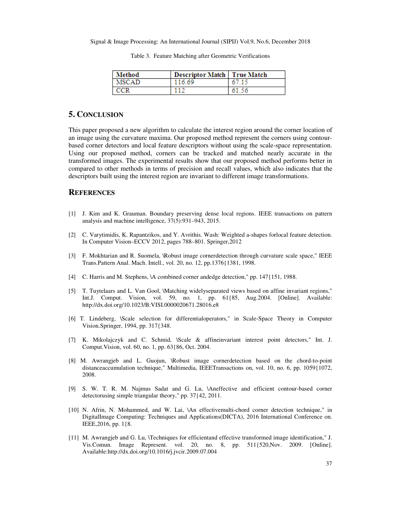| Method | <b>Descriptor Match   True Match</b> |       |
|--------|--------------------------------------|-------|
| MSCAD  | 116.69                               | 67.15 |
|        |                                      | 61.56 |

Table 3. Feature Matching after Geometric Verifications

## **5. CONCLUSION**

This paper proposed a new algorithm to calculate the interest region around the corner location of an image using the curvature maxima. Our proposed method represent the corners using contourbased corner detectors and local feature descriptors without using the scale-space representation. Using our proposed method, corners can be tracked and matched nearly accurate in the transformed images. The experimental results show that our proposed method performs better in compared to other methods in terms of precision and recall values, which also indicates that the descriptors built using the interest region are invariant to different image transformations.

## **REFERENCES**

- [1] J. Kim and K. Grauman. Boundary preserving dense local regions. IEEE transactions on pattern analysis and machine intelligence, 37(5):931–943, 2015.
- [2] C. Varytimidis, K. Rapantzikos, and Y. Avrithis. Wash: Weighted a-shapes forlocal feature detection. In Computer Vision–ECCV 2012, pages 788–801. Springer,2012
- [3] F. Mokhtarian and R. Suomela, \Robust image cornerdetection through curvature scale space," IEEE Trans.Pattern Anal. Mach. Intell., vol. 20, no. 12, pp.1376{1381, 1998.
- [4] C. Harris and M. Stephens, \A combined corner andedge detection," pp. 147{151, 1988.
- [5] T. Tuytelaars and L. Van Gool, \Matching widelyseparated views based on affine invariant regions," Int.J. Comput. Vision, vol. 59, no. 1, pp. 61{85, Aug.2004. [Online]. Available: http://dx.doi.org/10.1023/B:VISI.0000020671.28016.e8
- [6] T. Lindeberg, \Scale selection for differentialoperators," in Scale-Space Theory in Computer Vision.Springer, 1994, pp. 317{348.
- [7] K. Mikolajczyk and C. Schmid, \Scale & affineinvariant interest point detectors," Int. J. Comput.Vision, vol. 60, no. 1, pp. 63{86, Oct. 2004.
- [8] M. Awrangjeb and L. Guojun, \Robust image cornerdetection based on the chord-to-point distanceaccumulation technique," Multimedia, IEEETransactions on, vol. 10, no. 6, pp. 1059{1072, 2008.
- [9] S. W. T. R. M. Najmus Sadat and G. Lu, \Aneffective and efficient contour-based corner detectorusing simple triangular theory," pp. 37{42, 2011.
- [10] N. Afrin, N. Mohammed, and W. Lai, \An effectivemulti-chord corner detection technique," in DigitalImage Computing: Techniques and Applications(DICTA), 2016 International Conference on. IEEE,2016, pp. 1{8.
- [11] M. Awrangjeb and G. Lu, \Techniques for efficientand effective transformed image identification," J. Vis.Comun. Image Represent. vol. 20, no. 8, pp. 511{520,Nov. 2009. [Online]. Available:http://dx.doi.org/10.1016/j.jvcir.2009.07.004